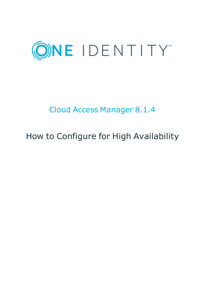

# Cloud Access Manager 8.1.4

# How to Configure for High Availability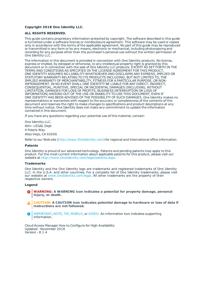#### **Copyright 2018 One Identity LLC.**

#### **ALL RIGHTS RESERVED.**

This guide contains proprietary information protected by copyright. The software described in this guide is furnished under a software license or nondisclosure agreement. This software may be used or copied only in accordance with the terms of the applicable agreement. No part of this guide may be reproduced or transmitted in any form or by any means, electronic or mechanical, including photocopying and recording for any purpose other than the purchaser's personal use without the written permission of One Identity LLC .

The information in this document is provided in connection with One Identity products. No license, express or implied, by estoppel or otherwise, to any intellectual property right is granted by this document or in connection with the sale of One Identity LLC products. EXCEPT AS SET FORTH IN THE TERMS AND CONDITIONS AS SPECIFIED IN THE LICENSE AGREEMENT FOR THIS PRODUCT, ONE IDENTITY ASSUMES NO LIABILITY WHATSOEVER AND DISCLAIMS ANY EXPRESS, IMPLIED OR STATUTORY WARRANTY RELATING TO ITS PRODUCTS INCLUDING, BUT NOT LIMITED TO, THE IMPLIED WARRANTY OF MERCHANTABILITY, FITNESS FOR A PARTICULAR PURPOSE, OR NON-INFRINGEMENT. IN NO EVENT SHALL ONE IDENTITY BE LIABLE FOR ANY DIRECT, INDIRECT, CONSEQUENTIAL, PUNITIVE, SPECIAL OR INCIDENTAL DAMAGES (INCLUDING, WITHOUT LIMITATION, DAMAGES FOR LOSS OF PROFITS, BUSINESS INTERRUPTION OR LOSS OF INFORMATION) ARISING OUT OF THE USE OR INABILITY TO USE THIS DOCUMENT, EVEN IF ONE IDENTITY HAS BEEN ADVISED OF THE POSSIBILITY OF SUCH DAMAGES. One Identity makes no representations or warranties with respect to the accuracy or completeness of the contents of this document and reserves the right to make changes to specifications and product descriptions at any time without notice. One Identity does not make any commitment to update the information contained in this document.

If you have any questions regarding your potential use of this material, contact:

One Identity LLC. Attn: LEGAL Dept 4 Polaris Way Aliso Viejo, CA 92656

Refer to our Web site ([http://www.OneIdentity.com](http://www.oneidentity.com/)) for regional and international office information.

#### **Patents**

One Identity is proud of our advanced technology. Patents and pending patents may apply to this product. For the most current information about applicable patents for this product, please visit our website at [http://www.OneIdentity.com/legal/patents.aspx](http://www.oneidentity.com/legal/patents.aspx).

#### **Trademarks**

One Identity and the One Identity logo are trademarks and registered trademarks of One Identity LLC. in the U.S.A. and other countries. For a complete list of One Identity trademarks, please visit our website at [www.OneIdentity.com/legal](http://www.oneidentity.com/legal). All other trademarks are the property of their respective owners.

#### **Legend**

- **WARNING: A WARNING icon indicates a potential for property damage, personal injury, or death.**
- **CAUTION: A CAUTION icon indicates potential damage to hardware or loss of data if instructions are not followed.**
- IMPORTANT, NOTE, TIP, MOBILE, or VIDEO: An information icon indicates supporting Œ information.

Cloud Access Manager How to Configure for High Availability Updated - November 2018 Version - 8.1.4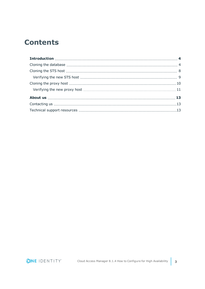### **Contents**

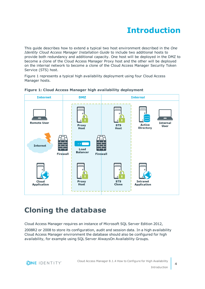# **Introduction**

<span id="page-3-0"></span>This guide describes how to extend a typical two host environment described in the *One Identity Cloud Access Manager Installation Guide* to include two additional hosts to provide both redundancy and additional capacity. One host will be deployed in the DMZ to become a clone of the Cloud Access Manager Proxy host and the other will be deployed on the internal network to become a clone of the Cloud Access Manager Security Token Service (STS) host.

Figure 1 represents a typical high availability deployment using four Cloud Access Manager hosts.



**Figure 1: Cloud Access Manager high availability deployment**

## <span id="page-3-1"></span>**Cloning the database**

Cloud Access Manager requires an instance of Microsoft SQL Server Edition 2012,

2008R2 or 2008 to store its configuration, audit and session data. In a high availability Cloud Access Manager environment the database should also be configured for high availability, for example using SQL Server AlwaysOn Availability Groups.

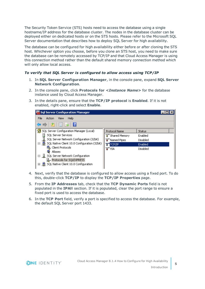The Security Token Service (STS) hosts need to access the database using a single hostname/IP address for the database cluster. The nodes in the database cluster can be deployed either on dedicated hosts or on the STS hosts. Please refer to the Microsoft SQL Server documentation that describes how to deploy SQL Server for high availability.

The database can be configured for high availability either before or after cloning the STS host. Whichever option you choose, before you clone an STS host, you need to make sure the database can be remotely accessed by TCP/IP and that Cloud Access Manager is using this connection method rather than the default shared memory connection method which will only allow local access.

### *To verify that SQL Server is configured to allow access using TCP/IP*

- 1. In **SQL Server Configuration Manager**, in the console pane, expand **SQL Server Network Configuration**.
- 2. In the console pane, click **Protocols for** *<Instance Name>* for the database instance used by Cloud Access Manager.
- 3. In the details pane, ensure that the **TCP/IP protocol** is **Enabled**. If it is not enabled, right-click and select **Enable**.

| 图 Sql Server Configuration Manager                                                                                                         |                      |               |  |
|--------------------------------------------------------------------------------------------------------------------------------------------|----------------------|---------------|--|
| File<br>Help<br><b>View</b><br>Action                                                                                                      |                      |               |  |
| 2 回良 2                                                                                                                                     |                      |               |  |
| SQL Server Configuration Manager (Local)                                                                                                   | <b>Protocol Name</b> | <b>Status</b> |  |
| SQL Server Services                                                                                                                        | শ্বী Shared Memory   | Enabled       |  |
| $\frac{1}{2}$ , SQL Server Network Configuration (32bit)<br>$\Box \stackrel{\text{def}}{=}$ , SQL Native Client 10.0 Configuration (32bit) | T Named Pipes        | Disabled      |  |
|                                                                                                                                            | TCP/IP               | Enabled       |  |
| 得, Client Protocols<br>Aliases                                                                                                             | ช™น                  | Disabled      |  |
| □ 良 SQL Server Network Configuration                                                                                                       |                      |               |  |
| 是 Protocols for SQLEXPRESS                                                                                                                 |                      |               |  |
| 田 로 SQL Native Client 10.0 Configuration                                                                                                   |                      |               |  |

- 4. Next, verify that the database is configured to allow access using a fixed port. To do this, double-click **TCP/IP** to display the **TCP/IP Properties** page.
- 5. From the **IP Addresses** tab, check that the **TCP Dynamic Ports** field is not populated in the **IPAll** section. If it is populated, clear the port range to ensure a fixed port is used to access the database.
- 6. In the **TCP Port** field, verify a port is specified to access the database. For example, the default SQL Server port 1433.

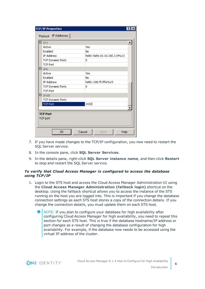| <b>TCP/IP Properties</b> | $\overline{?}$              |  |
|--------------------------|-----------------------------|--|
| Protocol IP Addresses    |                             |  |
| ∃ 1P5                    |                             |  |
| Active                   | Yes                         |  |
| Enabled                  | No.                         |  |
| <b>IP Address</b>        | fe80::5efe:10.10.180.119%13 |  |
| <b>TCP Dynamic Ports</b> | 0                           |  |
| <b>TCP Port</b>          |                             |  |
| $\boxminus$ $_{\rm IP6}$ |                             |  |
| Active                   | Yes                         |  |
| Enabled                  | No.                         |  |
| <b>IP Address</b>        | fe80::100:7f:fffe%10        |  |
| <b>TCP Dynamic Ports</b> | 0                           |  |
| <b>TCP Port</b>          |                             |  |
| E tpail                  |                             |  |
| <b>TCP Dynamic Ports</b> |                             |  |
| <b>TCP Port</b>          | 1433                        |  |
|                          |                             |  |
| <b>TCP Port</b>          |                             |  |
| TCP port                 |                             |  |
|                          |                             |  |
|                          |                             |  |
| 0K<br>Cancel             | Help<br>Apply               |  |
|                          |                             |  |

- 7. If you have made changes to the TCP/IP configuration, you now need to restart the SQL Server service.
- 8. In the console pane, click **SQL Server Services**.
- 9. In the details pane, right-click **SQL Server instance name**, and then click **Restart** to stop and restart the SQL Server service.

### *To verify that Cloud Access Manager is configured to access the database using TCP/IP*

- 1. Login to the STS host and access the Cloud Access Manager Administration UI using the **Cloud Access Manager Administration (fallback login)** shortcut on the desktop. Using the fallback shortcut allows you to access the instance of the STS running on the host you are logged into. This is important if you change the database connection settings as each STS host stores a copy of the connection details. If you change the connection details, you must update them on each STS host.
	- O NOTE: If you plan to configure your database for high availability after configuring Cloud Access Manager for high availability, you need to repeat this section for each STS host. This is true if the database hostname/IP address or port changes as a result of changing the database configuration for high availability. For example, if the database now needs to be accessed using the virtual IP address of the cluster.

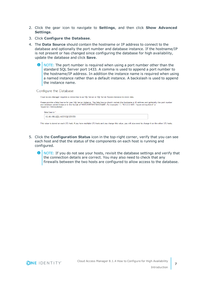- 2. Click the gear icon to navigate to **Settings**, and then click **Show Advanced Settings**.
- 3. Click **Configure the Database**.
- 4. The **Data Source** should contain the hostname or IP address to connect to the database and optionally the port number and database instance. If the hostname/IP is not present or has changed since configuring the database for high availability, update the database and click **Save**.
	- $\bullet$ NOTE: The port number is required when using a port number other than the standard SQL Server port 1433. A comma is used to append a port number to the hostname/IP address. In addition the instance name is required when using a named instance rather than a default instance. A backslash is used to append the instance name.

Configure the Database

| Cloud Access Manager requires a connection to an SQL Server or SQL Server Express instance to store data.                                                                                                                                                                                                            |  |
|----------------------------------------------------------------------------------------------------------------------------------------------------------------------------------------------------------------------------------------------------------------------------------------------------------------------|--|
| Please provide a Data Source for your SQL Server instance. The Data Source should contain the hostname or IP address and optionally the port number<br>and database named instance in the format of "HOST,PORT\INSTANCENAME". For example: ".", "10.1.2.3.1433", "myserver\mydbinst" or<br>"myserver,1433\mydbinst", |  |
| Data Source <sup>*</sup>                                                                                                                                                                                                                                                                                             |  |
| 10.10.180. 1,1433\SOLSERVER                                                                                                                                                                                                                                                                                          |  |

This value is stored on each STS host. If you have multiple STS hosts and you change this value, you will also need to change it on the other STS hosts.

- 5. Click the **Configuration Status** icon in the top-right corner, verify that you can see each host and that the status of the components on each host is running and configured.
	- 0 NOTE: If you do not see your hosts, revisit the database settings and verify that the connection details are correct. You may also need to check that any firewalls between the two hosts are configured to allow access to the database.

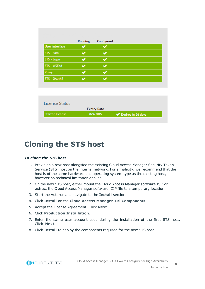|                        | Running | Configured         |                    |
|------------------------|---------|--------------------|--------------------|
| <b>User interface</b>  |         |                    |                    |
| STS - Saml             |         |                    |                    |
| STS - Login            |         |                    |                    |
| STS - WSFed            |         | ✔                  |                    |
| Proxy                  |         |                    |                    |
| STS - OAuth2           |         | ✔                  |                    |
|                        |         |                    |                    |
|                        |         |                    |                    |
| License Status         |         |                    |                    |
|                        |         | <b>Expiry Date</b> |                    |
| <b>Starter License</b> |         | 8/9/2015           | Expires in 26 days |

### <span id="page-7-0"></span>**Cloning the STS host**

### *To clone the STS host*

- 1. Provision a new host alongside the existing Cloud Access Manager Security Token Service (STS) host on the internal network. For simplicity, we recommend that the host is of the same hardware and operating system type as the existing host, however no technical limitation applies.
- 2. On the new STS host, either mount the Cloud Access Manager software ISO or extract the Cloud Access Manager software .ZIP file to a temporary location.
- 3. Start the Autorun and navigate to the **Install** section.
- 4. Click **Install** on the **Cloud Access Manager IIS Components**.
- 5. Accept the License Agreement. Click **Next**.
- 6. Click **Production Installation**.
- 7. Enter the same user account used during the installation of the first STS host. Click **Next**.
- 8. Click **Install** to deploy the components required for the new STS host.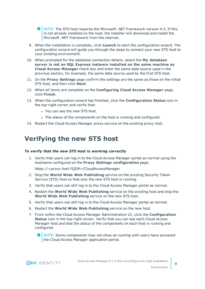**O** NOTE: The STS host requires the Microsoft .NET framework version 4.5. If this is not already installed on the host, the installer will download and install the Microsoft .NET framework from the internet.

- 9. When the installation is complete, click **Launch** to start the configuration wizard. The configuration wizard will guide you through the steps to connect your new STS host to your existing environment.
- 10. When prompted for the database connection details, select the **My database server is not an SQL Express instance installed on the same machine as Cloud Access Manager** check box and enter the same data source used in the previous section, for example, the same data source used by the first STS host.
- 11. On the **Proxy Settings** page confirm the settings are the same as those on the initial STS host, and then click **Next**.
- 12. When all items are complete on the **Configuring Cloud Access Manager** page, click **Finish**.
- 13. When the configuration wizard has finished, click the **Configuration Status** icon in the top-right corner and verify that:
	- You can see the new STS host.
	- The status of the components on the host is running and configured.
- <span id="page-8-0"></span>14. Restart the Cloud Access Manager proxy service on the existing proxy host.

### **Verifying the new STS host**

#### *To verify that the new STS host is working correctly*

1. Verify that users can log in to the Cloud Access Manager portal as normal using the hostname configured on the **Proxy Settings configuration** page:

https://*<proxy host FQDN>*/CloudAccessManager

- 2. Stop the **World Wide Web Publishing** service on the existing Security Token Service (STS) host so that only the new STS host is running.
- 3. Verify that users can still log in to the Cloud Access Manager portal as normal.
- 4. Restart the **World Wide Web Publishing** service on the existing host and stop the **World Wide Web Publishing** service on the new STS host.
- 5. Verify that users can still log in to the Cloud Access Manager portal as normal.
- 6. Restart the **World Wide Web Publishing** service on the new host.
- 7. From within the Cloud Access Manager Administration UI, click the **Configuration Status** icon in the top-right corner. Verify that you can see each Cloud Access Manager host and that the status of the components on each host is running and configured.
	- NOTE: Some components may not show as running until users have accessed the Cloud Access Manager application portal.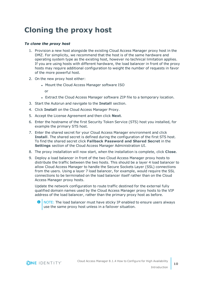## <span id="page-9-0"></span>**Cloning the proxy host**

### *To clone the proxy host*

- 1. Provision a new host alongside the existing Cloud Access Manager proxy host in the DMZ. For simplicity, we recommend that the host is of the same hardware and operating system type as the existing host, however no technical limitation applies. If you are using hosts with different hardware, the load balancer in front of the proxy hosts may require additional configuration to weight the number of requests in favor of the more powerful host.
- 2. On the new proxy host either:
	- Mount the Cloud Access Manager software ISO
		- or
	- Extract the Cloud Access Manager software ZIP file to a temporary location.
- 3. Start the Autorun and navigate to the **Install** section.
- 4. Click **Install** on the Cloud Access Manager Proxy.
- 5. Accept the License Agreement and then click **Next**.
- 6. Enter the hostname of the first Security Token Service (STS) host you installed, for example the primary STS host.
- 7. Enter the shared secret for your Cloud Access Manager environment and click **Install**. The shared secret is defined during the configuration of the first STS host. To find the shared secret click **Fallback Password and Shared Secret** in the **Settings** section of the Cloud Access Manager Administration UI.
- 8. The proxy installation will now start, when the installation is complete, click **Close**.
- 9. Deploy a load balancer in front of the two Cloud Access Manager proxy hosts to distribute the traffic between the two hosts. This should be a layer 4 load balancer to allow Cloud Access Manager to handle the Secure Sockets Layer (SSL) connections from the users. Using a layer 7 load balancer, for example, would require the SSL connections to be terminated on the load balancer itself rather than on the Cloud Access Manager proxy hosts.

Update the network configuration to route traffic destined for the external fully qualified domain names used by the Cloud Access Manager proxy hosts to the VIP address of the load balancer, rather than the primary proxy host as before.

NOTE: The load balancer must have sticky IP enabled to ensure users always use the same proxy host unless in a failover situation.

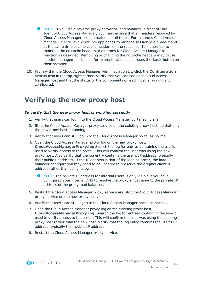O NOTE: If you use a reverse proxy server or load balancer in front of One Identity Cloud Access Manager, you must ensure that all headers required by Cloud Access Manager are maintained at all times. For instance, Cloud Access Manager injects JavaScript into app pages to manage session idle timeout and at the same time sets no cache headers on the response. It is essential to maintain the no cache headers at all times for Cloud Access Manager to function as designed. Removing or changing the no cache headers may cause session management issues, for example when a user uses the **Back** button on their browser.

10. From within the Cloud Access Manager Administration UI, click the **Configuration Status** icon in the top-right corner. Verify that you can see each Cloud Access Manager host and that the status of the components on each host is running and configured.

### <span id="page-10-0"></span>**Verifying the new proxy host**

### *To verify that the new proxy host is working correctly*

- 1. Verify that users can log in to the Cloud Access Manager portal as normal.
- 2. Stop the Cloud Access Manager proxy service on the existing proxy host, so that only the new proxy host is running.
- 3. Verify that users can still log in to the Cloud Access Manager portal as normal.
- 4. Open the Cloud Access Manager proxy log on the new proxy host, **CloudAccessManagerProxy.log** Search the log for entries containing the userid used to verify access to the portal. This will confirm the user was using the new proxy host. Also verify that the log entry contains the user's IP address, typically their public IP address. If the IP address is that of the load balancer, the load balancer configuration may need to be updated to preserve the original client IP address rather than using its own.
	- $\bullet$ NOTE: The private IP address for internal users is only visible if you have configured your internal DNS to resolve the proxy's hostname to the private IP address of the proxy load balancer.
- 5. Restart the Cloud Access Manager proxy service and stop the Cloud Access Manager proxy service on the new proxy host.
- 6. Verify that users can still log in to the Cloud Access Manager portal as normal.
- 7. Open the Cloud Access Manager proxy log on the existing proxy host, **CloudAccessManagerProxy.log**. Search the log for entries containing the userid used to verify access to the portal. This will confirm the user was using the existing proxy host rather than the new host. Verify that the log entry contains the user's IP address, typically their public IP address.
- 8. Restart the Cloud Access Manager proxy service.

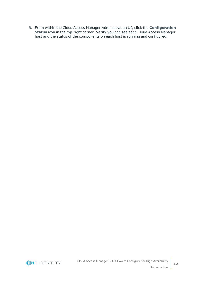9. From within the Cloud Access Manager Administration UI, click the **Configuration Status** icon in the top-right corner. Verify you can see each Cloud Access Manager host and the status of the components on each host is running and configured.